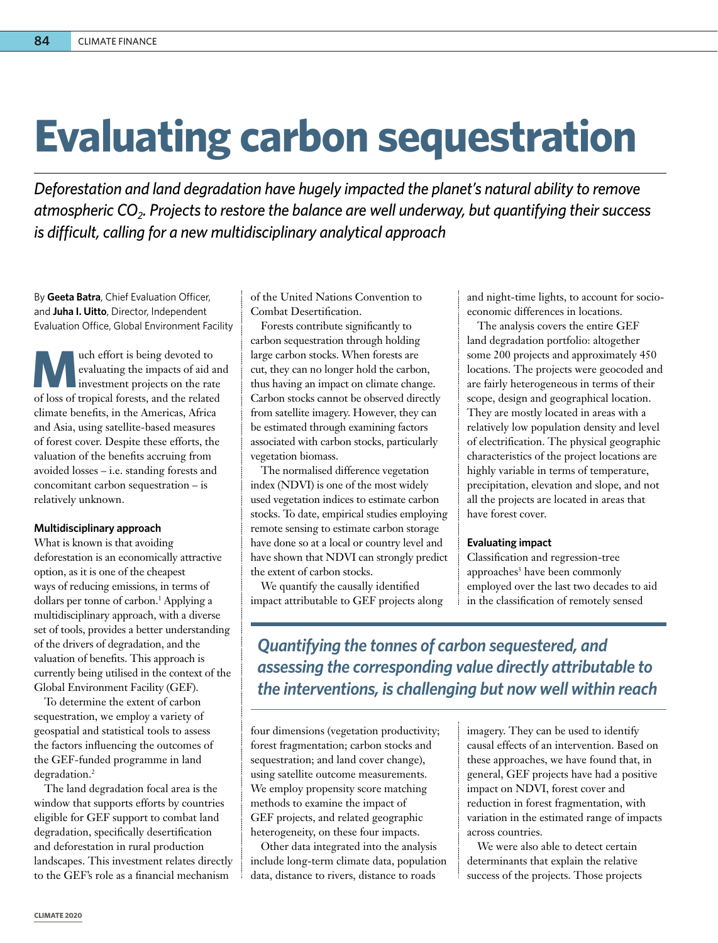## **Evaluating carbon sequestration**

*Deforestation and land degradation have hugely impacted the planet's natural ability to remove atmospheric CO2. Projects to restore the balance are well underway, but quantifying their success is difficult, calling for a new multidisciplinary analytical approach*

By **Geeta Batra**, Chief Evaluation Officer, and **Juha I. Uitto**, Director, Independent Evaluation Office, Global Environment Facility

**Much effort is being devoted to**<br>
evaluating the impacts of aid an<br>
investment projects on the rate<br>
of loss of tropical forests, and the ralated evaluating the impacts of aid and of loss of tropical forests, and the related climate benefits, in the Americas, Africa and Asia, using satellite-based measures of forest cover. Despite these efforts, the valuation of the benefits accruing from avoided losses – i.e. standing forests and concomitant carbon sequestration – is relatively unknown.

## **Multidisciplinary approach**

What is known is that avoiding deforestation is an economically attractive option, as it is one of the cheapest ways of reducing emissions, in terms of dollars per tonne of carbon.<sup>1</sup> Applying a multidisciplinary approach, with a diverse set of tools, provides a better understanding of the drivers of degradation, and the valuation of benefits. This approach is currently being utilised in the context of the Global Environment Facility (GEF).

To determine the extent of carbon sequestration, we employ a variety of geospatial and statistical tools to assess the factors influencing the outcomes of the GEF-funded programme in land degradation.<sup>2</sup>

The land degradation focal area is the window that supports efforts by countries eligible for GEF support to combat land degradation, specifically desertification and deforestation in rural production landscapes. This investment relates directly to the GEF's role as a financial mechanism

of the United Nations Convention to Combat Desertification.

Forests contribute significantly to carbon sequestration through holding large carbon stocks. When forests are cut, they can no longer hold the carbon, thus having an impact on climate change. Carbon stocks cannot be observed directly from satellite imagery. However, they can be estimated through examining factors associated with carbon stocks, particularly vegetation biomass.

The normalised difference vegetation index (NDVI) is one of the most widely used vegetation indices to estimate carbon stocks. To date, empirical studies employing remote sensing to estimate carbon storage have done so at a local or country level and have shown that NDVI can strongly predict the extent of carbon stocks.

We quantify the causally identified impact attributable to GEF projects along and night-time lights, to account for socioeconomic differences in locations.

The analysis covers the entire GEF land degradation portfolio: altogether some 200 projects and approximately 450 locations. The projects were geocoded and are fairly heterogeneous in terms of their scope, design and geographical location. They are mostly located in areas with a relatively low population density and level of electrification. The physical geographic characteristics of the project locations are highly variable in terms of temperature, precipitation, elevation and slope, and not all the projects are located in areas that have forest cover.

## **Evaluating impact**

Classification and regression-tree approaches<sup>3</sup> have been commonly employed over the last two decades to aid in the classification of remotely sensed

*Quantifying the tonnes of carbon sequestered, and assessing the corresponding value directly attributable to the interventions, is challenging but now well within reach*

four dimensions (vegetation productivity; forest fragmentation; carbon stocks and sequestration; and land cover change), using satellite outcome measurements. We employ propensity score matching methods to examine the impact of GEF projects, and related geographic heterogeneity, on these four impacts.

Other data integrated into the analysis include long-term climate data, population data, distance to rivers, distance to roads

imagery. They can be used to identify causal effects of an intervention. Based on these approaches, we have found that, in general, GEF projects have had a positive impact on NDVI, forest cover and reduction in forest fragmentation, with variation in the estimated range of impacts across countries.

We were also able to detect certain determinants that explain the relative success of the projects. Those projects